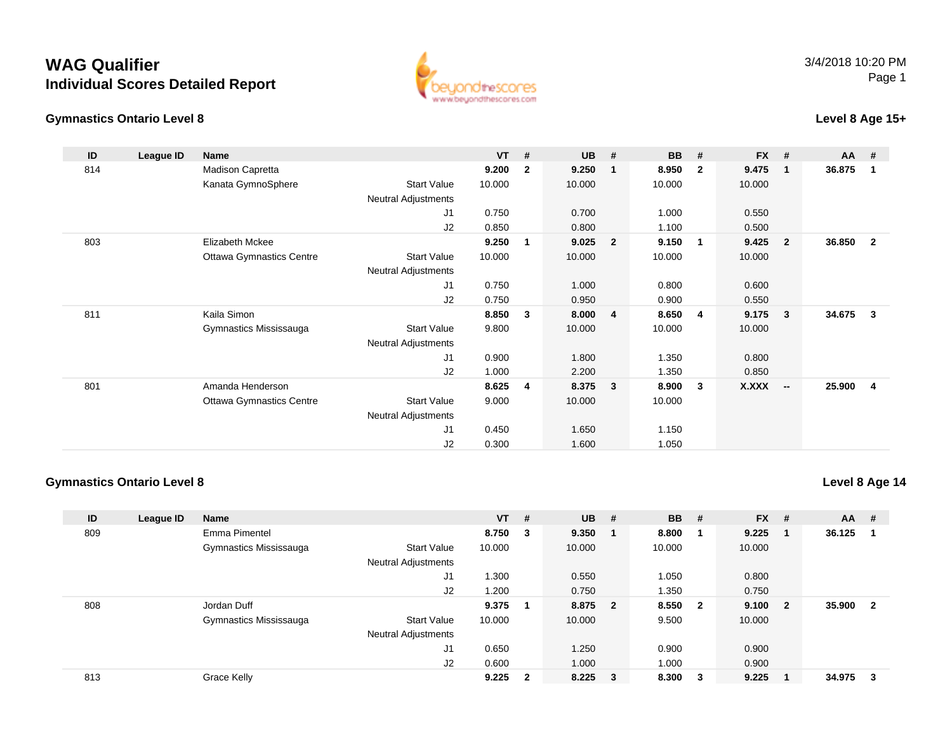## **WAG QualifierIndividual Scores Detailed Report**

#### **Gymnastics Ontario Level 8**



### **Level 8 Age 15+**

| ID  | League ID | <b>Name</b>                     |                            | VT     | #            | <b>UB</b> | #                       | <b>BB</b> | #              | <b>FX</b> | #                        | AA     | #              |
|-----|-----------|---------------------------------|----------------------------|--------|--------------|-----------|-------------------------|-----------|----------------|-----------|--------------------------|--------|----------------|
| 814 |           | Madison Capretta                |                            | 9.200  | $\mathbf{2}$ | 9.250     |                         | 8.950     | $\overline{2}$ | 9.475     | $\mathbf 1$              | 36.875 | -1             |
|     |           | Kanata GymnoSphere              | <b>Start Value</b>         | 10.000 |              | 10.000    |                         | 10.000    |                | 10.000    |                          |        |                |
|     |           |                                 | Neutral Adjustments        |        |              |           |                         |           |                |           |                          |        |                |
|     |           |                                 | J1                         | 0.750  |              | 0.700     |                         | 1.000     |                | 0.550     |                          |        |                |
|     |           |                                 | J2                         | 0.850  |              | 0.800     |                         | 1.100     |                | 0.500     |                          |        |                |
| 803 |           | Elizabeth Mckee                 |                            | 9.250  | 1            | 9.025     | $\overline{\mathbf{2}}$ | 9.150     | $\blacksquare$ | 9.425     | $\overline{2}$           | 36.850 | $\overline{2}$ |
|     |           | <b>Ottawa Gymnastics Centre</b> | <b>Start Value</b>         | 10.000 |              | 10.000    |                         | 10.000    |                | 10.000    |                          |        |                |
|     |           |                                 | <b>Neutral Adjustments</b> |        |              |           |                         |           |                |           |                          |        |                |
|     |           |                                 | J1                         | 0.750  |              | 1.000     |                         | 0.800     |                | 0.600     |                          |        |                |
|     |           |                                 | J2                         | 0.750  |              | 0.950     |                         | 0.900     |                | 0.550     |                          |        |                |
| 811 |           | Kaila Simon                     |                            | 8.850  | 3            | 8.000     | $\overline{\mathbf{4}}$ | 8.650     | 4              | 9.175     | -3                       | 34.675 | 3              |
|     |           | Gymnastics Mississauga          | <b>Start Value</b>         | 9.800  |              | 10.000    |                         | 10.000    |                | 10.000    |                          |        |                |
|     |           |                                 | Neutral Adjustments        |        |              |           |                         |           |                |           |                          |        |                |
|     |           |                                 | J1                         | 0.900  |              | 1.800     |                         | 1.350     |                | 0.800     |                          |        |                |
|     |           |                                 | J <sub>2</sub>             | 1.000  |              | 2.200     |                         | 1.350     |                | 0.850     |                          |        |                |
| 801 |           | Amanda Henderson                |                            | 8.625  | 4            | 8.375     | $\overline{\mathbf{3}}$ | 8.900     | $\mathbf{3}$   | X.XXX     | $\overline{\phantom{a}}$ | 25.900 | 4              |
|     |           | <b>Ottawa Gymnastics Centre</b> | <b>Start Value</b>         | 9.000  |              | 10.000    |                         | 10.000    |                |           |                          |        |                |
|     |           |                                 | <b>Neutral Adjustments</b> |        |              |           |                         |           |                |           |                          |        |                |
|     |           |                                 | J1                         | 0.450  |              | 1.650     |                         | 1.150     |                |           |                          |        |                |
|     |           |                                 | J <sub>2</sub>             | 0.300  |              | 1.600     |                         | 1.050     |                |           |                          |        |                |

#### **Gymnastics Ontario Level 8**

**Level 8 Age 14**

| ID  | League ID | <b>Name</b>            |                            | $VT$ # |                | $UB$ #    | <b>BB</b> | #                       | $FX$ # |                         | $AA$ # |                         |
|-----|-----------|------------------------|----------------------------|--------|----------------|-----------|-----------|-------------------------|--------|-------------------------|--------|-------------------------|
| 809 |           | Emma Pimentel          |                            | 8.750  | 3              | 9.350     | 8.800     |                         | 9.225  |                         | 36.125 |                         |
|     |           | Gymnastics Mississauga | <b>Start Value</b>         | 10.000 |                | 10.000    | 10.000    |                         | 10.000 |                         |        |                         |
|     |           |                        | <b>Neutral Adjustments</b> |        |                |           |           |                         |        |                         |        |                         |
|     |           |                        | J1                         | .300   |                | 0.550     | 1.050     |                         | 0.800  |                         |        |                         |
|     |           |                        | J2                         | .200   |                | 0.750     | 1.350     |                         | 0.750  |                         |        |                         |
| 808 |           | Jordan Duff            |                            | 9.375  |                | 8.875 2   | 8.550     | $\overline{\mathbf{2}}$ | 9.100  | $\overline{\mathbf{2}}$ | 35.900 | $\overline{\mathbf{2}}$ |
|     |           | Gymnastics Mississauga | <b>Start Value</b>         | 10.000 |                | 10.000    | 9.500     |                         | 10.000 |                         |        |                         |
|     |           |                        | <b>Neutral Adjustments</b> |        |                |           |           |                         |        |                         |        |                         |
|     |           |                        | J1                         | 0.650  |                | 1.250     | 0.900     |                         | 0.900  |                         |        |                         |
|     |           |                        | J2                         | 0.600  |                | 1.000     | 1.000     |                         | 0.900  |                         |        |                         |
| 813 |           | Grace Kelly            |                            | 9.225  | $\overline{2}$ | $8.225$ 3 | 8.300     | 3                       | 9.225  |                         | 34.975 | - 3                     |